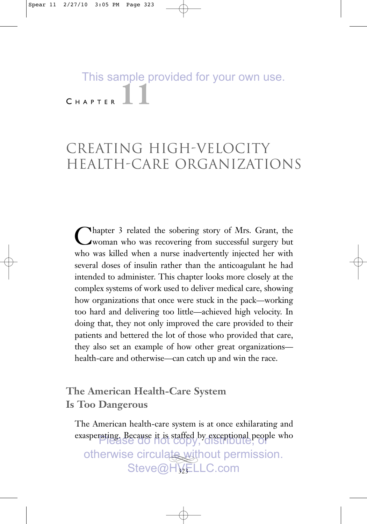# C HAPTER **11** This sample provided for your own use.

# Creating High-Velocity Health-Care Organizations

Chapter 3 related the sobering story of Mrs. Grant, the woman who was recovering from successful surgery but who was killed when a nurse inadvertently injected her with several doses of insulin rather than the anticoagulant he had intended to administer. This chapter looks more closely at the complex systems of work used to deliver medical care, showing how organizations that once were stuck in the pack—working too hard and delivering too little—achieved high velocity. In doing that, they not only improved the care provided to their patients and bettered the lot of those who provided that care, they also set an example of how other great organizations health-care and otherwise—can catch up and win the race.

## **The American Health-Care System Is Too Dangerous**

The American health-care system is at once exhilarating and exasperating. Because it is staffed by exceptional people who Please do not copy, distribute, or otherwise circulate without permission. Steve@HyELLC.com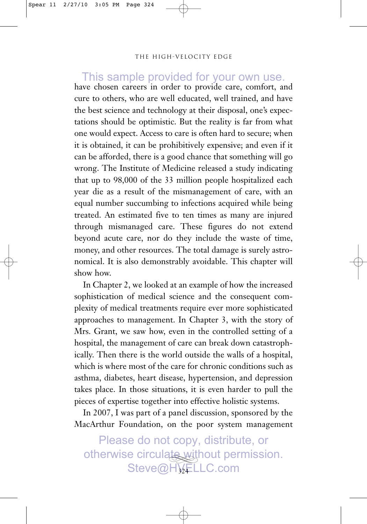have chosen careers in order to provide care, comfort, and cure to others, who are well educated, well trained, and have the best science and technology at their disposal, one's expectations should be optimistic. But the reality is far from what one would expect. Access to care is often hard to secure; when it is obtained, it can be prohibitively expensive; and even if it can be afforded, there is a good chance that something will go wrong. The Institute of Medicine released a study indicating that up to 98,000 of the 33 million people hospitalized each year die as a result of the mismanagement of care, with an equal number succumbing to infections acquired while being treated. An estimated five to ten times as many are injured through mismanaged care. These figures do not extend beyond acute care, nor do they include the waste of time, money, and other resources. The total damage is surely astronomical. It is also demonstrably avoidable. This chapter will show how. This sample provided for your own use.

In Chapter 2, we looked at an example of how the increased sophistication of medical science and the consequent complexity of medical treatments require ever more sophisticated approaches to management. In Chapter 3, with the story of Mrs. Grant, we saw how, even in the controlled setting of a hospital, the management of care can break down catastrophically. Then there is the world outside the walls of a hospital, which is where most of the care for chronic conditions such as asthma, diabetes, heart disease, hypertension, and depression takes place. In those situations, it is even harder to pull the pieces of expertise together into effective holistic systems.

In 2007, I was part of a panel discussion, sponsored by the MacArthur Foundation, on the poor system management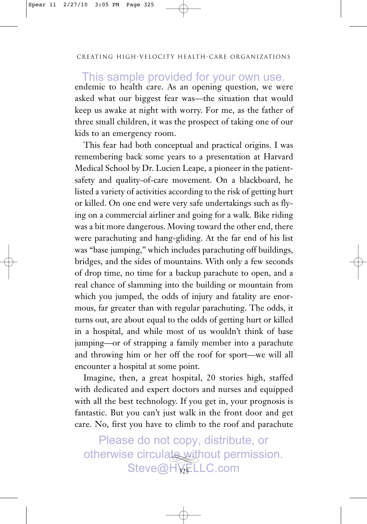endemic to health care. As an opening question, we were asked what our biggest fear was—the situation that would keep us awake at night with worry. For me, as the father of three small children, it was the prospect of taking one of our kids to an emergency room. This sample provided for your own use.

This fear had both conceptual and practical origins. I was remembering back some years to a presentation at Harvard Medical School by Dr. Lucien Leape, a pioneer in the patientsafety and quality-of-care movement. On a blackboard, he listed a variety of activities according to the risk of getting hurt or killed. On one end were very safe undertakings such as flying on a commercial airliner and going for a walk. Bike riding was a bit more dangerous. Moving toward the other end, there were parachuting and hang-gliding. At the far end of his list was "base jumping," which includes parachuting off buildings, bridges, and the sides of mountains. With only a few seconds of drop time, no time for a backup parachute to open, and a real chance of slamming into the building or mountain from which you jumped, the odds of injury and fatality are enormous, far greater than with regular parachuting. The odds, it turns out, are about equal to the odds of getting hurt or killed in a hospital, and while most of us wouldn't think of base jumping—or of strapping a family member into a parachute and throwing him or her off the roof for sport—we will all encounter a hospital at some point.

Imagine, then, a great hospital, 20 stories high, staffed with dedicated and expert doctors and nurses and equipped with all the best technology. If you get in, your prognosis is fantastic. But you can't just walk in the front door and get care. No, first you have to climb to the roof and parachute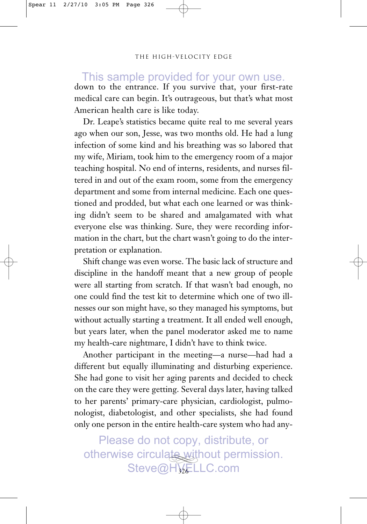down to the entrance. If you survive that, your first-rate medical care can begin. It's outrageous, but that's what most American health care is like today. This sample provided for your own use.

Dr. Leape's statistics became quite real to me several years ago when our son, Jesse, was two months old. He had a lung infection of some kind and his breathing was so labored that my wife, Miriam, took him to the emergency room of a major teaching hospital. No end of interns, residents, and nurses filtered in and out of the exam room, some from the emergency department and some from internal medicine. Each one questioned and prodded, but what each one learned or was thinking didn't seem to be shared and amalgamated with what everyone else was thinking. Sure, they were recording information in the chart, but the chart wasn't going to do the interpretation or explanation.

Shift change was even worse. The basic lack of structure and discipline in the handoff meant that a new group of people were all starting from scratch. If that wasn't bad enough, no one could find the test kit to determine which one of two illnesses our son might have, so they managed his symptoms, but without actually starting a treatment. It all ended well enough, but years later, when the panel moderator asked me to name my health-care nightmare, I didn't have to think twice.

Another participant in the meeting—a nurse—had had a different but equally illuminating and disturbing experience. She had gone to visit her aging parents and decided to check on the care they were getting. Several days later, having talked to her parents' primary-care physician, cardiologist, pulmonologist, diabetologist, and other specialists, she had found only one person in the entire health-care system who had any-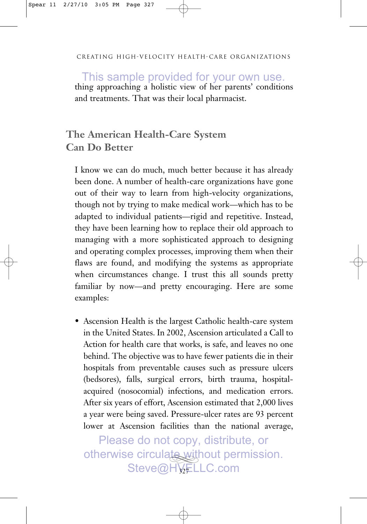thing approaching a holistic view of her parents' conditions and treatments. That was their local pharmacist. This sample provided for your own use.

## **The American Health-Care System Can Do Better**

I know we can do much, much better because it has already been done. A number of health-care organizations have gone out of their way to learn from high-velocity organizations, though not by trying to make medical work—which has to be adapted to individual patients—rigid and repetitive. Instead, they have been learning how to replace their old approach to managing with a more sophisticated approach to designing and operating complex processes, improving them when their flaws are found, and modifying the systems as appropriate when circumstances change. I trust this all sounds pretty familiar by now—and pretty encouraging. Here are some examples:

• Ascension Health is the largest Catholic health-care system in the United States. In 2002, Ascension articulated a Call to Action for health care that works, is safe, and leaves no one behind. The objective was to have fewer patients die in their hospitals from preventable causes such as pressure ulcers (bedsores), falls, surgical errors, birth trauma, hospitalacquired (nosocomial) infections, and medication errors. After six years of effort, Ascension estimated that 2,000 lives a year were being saved. Pressure-ulcer rates are 93 percent lower at Ascension facilities than the national average,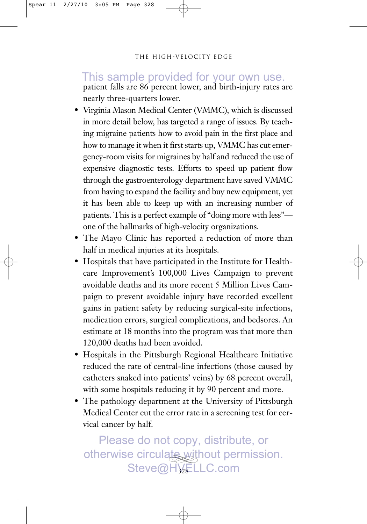patient falls are 86 percent lower, and birth-injury rates are nearly three-quarters lower. This sample provided for your own use.

- Virginia Mason Medical Center (VMMC), which is discussed in more detail below, has targeted a range of issues. By teaching migraine patients how to avoid pain in the first place and how to manage it when it first starts up, VMMC has cut emergency-room visits for migraines by half and reduced the use of expensive diagnostic tests. Efforts to speed up patient flow through the gastroenterology department have saved VMMC from having to expand the facility and buy new equipment, yet it has been able to keep up with an increasing number of patients. This is a perfect example of "doing more with less" one of the hallmarks of high-velocity organizations.
- The Mayo Clinic has reported a reduction of more than half in medical injuries at its hospitals.
- Hospitals that have participated in the Institute for Healthcare Improvement's 100,000 Lives Campaign to prevent avoidable deaths and its more recent 5 Million Lives Campaign to prevent avoidable injury have recorded excellent gains in patient safety by reducing surgical-site infections, medication errors, surgical complications, and bedsores. An estimate at 18 months into the program was that more than 120,000 deaths had been avoided.
- Hospitals in the Pittsburgh Regional Healthcare Initiative reduced the rate of central-line infections (those caused by catheters snaked into patients' veins) by 68 percent overall, with some hospitals reducing it by 90 percent and more.
- The pathology department at the University of Pittsburgh Medical Center cut the error rate in a screening test for cervical cancer by half.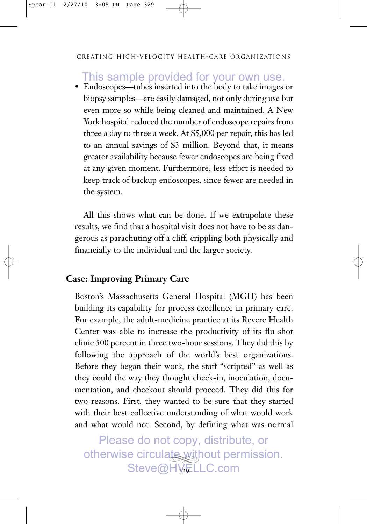• Endoscopes—tubes inserted into the body to take images or biopsy samples—are easily damaged, not only during use but even more so while being cleaned and maintained. A New York hospital reduced the number of endoscope repairs from three a day to three a week. At \$5,000 per repair, this has led to an annual savings of \$3 million. Beyond that, it means greater availability because fewer endoscopes are being fixed at any given moment. Furthermore, less effort is needed to keep track of backup endoscopes, since fewer are needed in the system.

All this shows what can be done. If we extrapolate these results, we find that a hospital visit does not have to be as dangerous as parachuting off a cliff, crippling both physically and financially to the individual and the larger society.

## **Case: Improving Primary Care**

Boston's Massachusetts General Hospital (MGH) has been building its capability for process excellence in primary care. For example, the adult-medicine practice at its Revere Health Center was able to increase the productivity of its flu shot clinic 500 percent in three two-hour sessions. They did this by following the approach of the world's best organizations. Before they began their work, the staff "scripted" as well as they could the way they thought check-in, inoculation, documentation, and checkout should proceed. They did this for two reasons. First, they wanted to be sure that they started with their best collective understanding of what would work and what would not. Second, by defining what was normal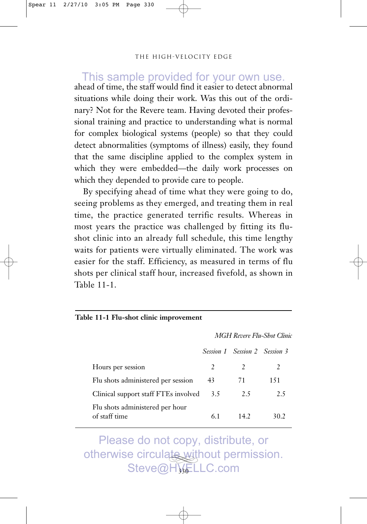ahead of time, the staff would find it easier to detect abnormal situations while doing their work. Was this out of the ordinary? Not for the Revere team. Having devoted their professional training and practice to understanding what is normal for complex biological systems (people) so that they could detect abnormalities (symptoms of illness) easily, they found that the same discipline applied to the complex system in which they were embedded—the daily work processes on which they depended to provide care to people. This sample provided for your own use.

By specifying ahead of time what they were going to do, seeing problems as they emerged, and treating them in real time, the practice generated terrific results. Whereas in most years the practice was challenged by fitting its flushot clinic into an already full schedule, this time lengthy waits for patients were virtually eliminated. The work was easier for the staff. Efficiency, as measured in terms of flu shots per clinical staff hour, increased fivefold, as shown in Table 11-1.

|                                                  | <b>MGH</b> Revere Flu-Shot Clinic |                               |      |
|--------------------------------------------------|-----------------------------------|-------------------------------|------|
|                                                  |                                   | Session 1 Session 2 Session 3 |      |
| Hours per session                                |                                   |                               | 2    |
| Flu shots administered per session               | 43                                | 71                            | 151  |
| Clinical support staff FTEs involved             | 3.5                               | 2.5                           | 25   |
| Flu shots administered per hour<br>of staff time | 61                                |                               | 30 Z |

#### **Table 11-1 Flu-shot clinic improvement**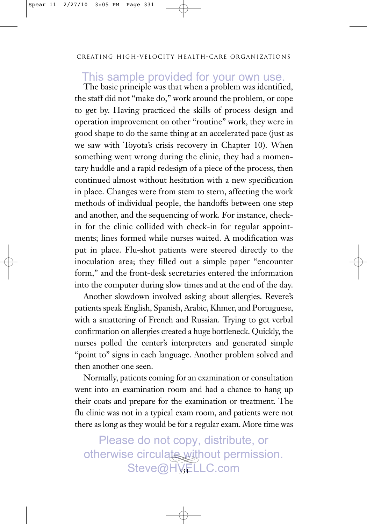The basic principle was that when a problem was identified, the staff did not "make do," work around the problem, or cope to get by. Having practiced the skills of process design and operation improvement on other "routine" work, they were in good shape to do the same thing at an accelerated pace (just as we saw with Toyota's crisis recovery in Chapter 10). When something went wrong during the clinic, they had a momentary huddle and a rapid redesign of a piece of the process, then continued almost without hesitation with a new specification in place. Changes were from stem to stern, affecting the work methods of individual people, the handoffs between one step and another, and the sequencing of work. For instance, checkin for the clinic collided with check-in for regular appointments; lines formed while nurses waited. A modification was put in place. Flu-shot patients were steered directly to the inoculation area; they filled out a simple paper "encounter form," and the front-desk secretaries entered the information into the computer during slow times and at the end of the day.

Another slowdown involved asking about allergies. Revere's patients speak English, Spanish, Arabic, Khmer, and Portuguese, with a smattering of French and Russian. Trying to get verbal confirmation on allergies created a huge bottleneck. Quickly, the nurses polled the center's interpreters and generated simple "point to" signs in each language. Another problem solved and then another one seen.

Normally, patients coming for an examination or consultation went into an examination room and had a chance to hang up their coats and prepare for the examination or treatment. The flu clinic was not in a typical exam room, and patients were not there as long as they would be for a regular exam. More time was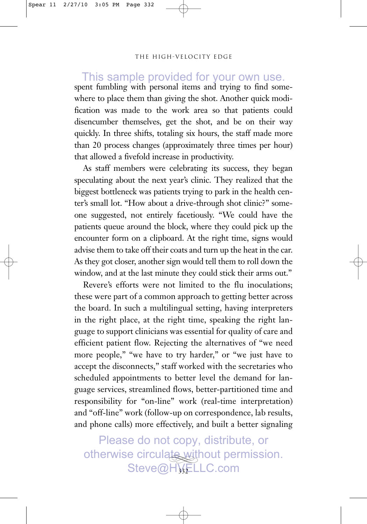spent fumbling with personal items and trying to find somewhere to place them than giving the shot. Another quick modification was made to the work area so that patients could disencumber themselves, get the shot, and be on their way quickly. In three shifts, totaling six hours, the staff made more than 20 process changes (approximately three times per hour) that allowed a fivefold increase in productivity. This sample provided for your own use.

As staff members were celebrating its success, they began speculating about the next year's clinic. They realized that the biggest bottleneck was patients trying to park in the health center's small lot. "How about a drive-through shot clinic?" someone suggested, not entirely facetiously. "We could have the patients queue around the block, where they could pick up the encounter form on a clipboard. At the right time, signs would advise them to take off their coats and turn up the heat in the car. As they got closer, another sign would tell them to roll down the window, and at the last minute they could stick their arms out."

Revere's efforts were not limited to the flu inoculations; these were part of a common approach to getting better across the board. In such a multilingual setting, having interpreters in the right place, at the right time, speaking the right language to support clinicians was essential for quality of care and efficient patient flow. Rejecting the alternatives of "we need more people," "we have to try harder," or "we just have to accept the disconnects," staff worked with the secretaries who scheduled appointments to better level the demand for language services, streamlined flows, better-partitioned time and responsibility for "on-line" work (real-time interpretation) and "off-line" work (follow-up on correspondence, lab results, and phone calls) more effectively, and built a better signaling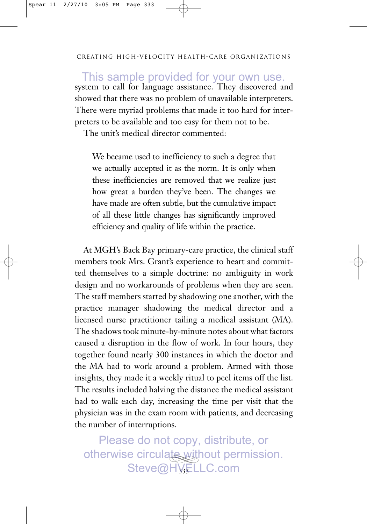system to call for language assistance. They discovered and showed that there was no problem of unavailable interpreters. There were myriad problems that made it too hard for interpreters to be available and too easy for them not to be. This sample provided for your own use.

The unit's medical director commented:

We became used to inefficiency to such a degree that we actually accepted it as the norm. It is only when these inefficiencies are removed that we realize just how great a burden they've been. The changes we have made are often subtle, but the cumulative impact of all these little changes has significantly improved efficiency and quality of life within the practice.

At MGH's Back Bay primary-care practice, the clinical staff members took Mrs. Grant's experience to heart and committed themselves to a simple doctrine: no ambiguity in work design and no workarounds of problems when they are seen. The staff members started by shadowing one another, with the practice manager shadowing the medical director and a licensed nurse practitioner tailing a medical assistant (MA). The shadows took minute-by-minute notes about what factors caused a disruption in the flow of work. In four hours, they together found nearly 300 instances in which the doctor and the MA had to work around a problem. Armed with those insights, they made it a weekly ritual to peel items off the list. The results included halving the distance the medical assistant had to walk each day, increasing the time per visit that the physician was in the exam room with patients, and decreasing the number of interruptions.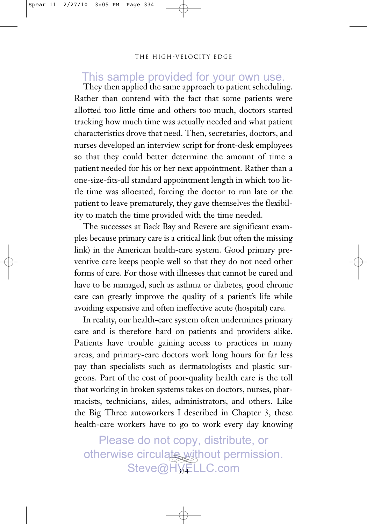They then applied the same approach to patient scheduling. Rather than contend with the fact that some patients were allotted too little time and others too much, doctors started tracking how much time was actually needed and what patient characteristics drove that need. Then, secretaries, doctors, and nurses developed an interview script for front-desk employees so that they could better determine the amount of time a patient needed for his or her next appointment. Rather than a one-size-fits-all standard appointment length in which too little time was allocated, forcing the doctor to run late or the patient to leave prematurely, they gave themselves the flexibility to match the time provided with the time needed.

The successes at Back Bay and Revere are significant examples because primary care is a critical link (but often the missing link) in the American health-care system. Good primary preventive care keeps people well so that they do not need other forms of care. For those with illnesses that cannot be cured and have to be managed, such as asthma or diabetes, good chronic care can greatly improve the quality of a patient's life while avoiding expensive and often ineffective acute (hospital) care.

In reality, our health-care system often undermines primary care and is therefore hard on patients and providers alike. Patients have trouble gaining access to practices in many areas, and primary-care doctors work long hours for far less pay than specialists such as dermatologists and plastic surgeons. Part of the cost of poor-quality health care is the toll that working in broken systems takes on doctors, nurses, pharmacists, technicians, aides, administrators, and others. Like the Big Three autoworkers I described in Chapter 3, these health-care workers have to go to work every day knowing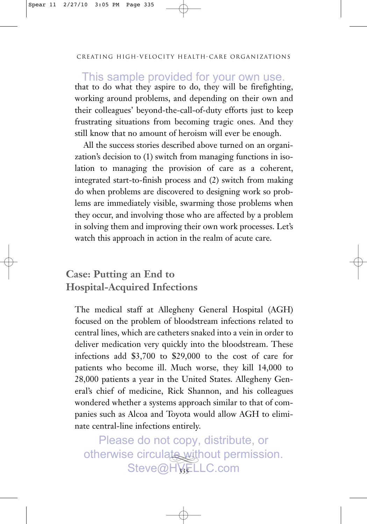that to do what they aspire to do, they will be firefighting, working around problems, and depending on their own and their colleagues' beyond-the-call-of-duty efforts just to keep frustrating situations from becoming tragic ones. And they still know that no amount of heroism will ever be enough. This sample provided for your own use.

All the success stories described above turned on an organization's decision to (1) switch from managing functions in isolation to managing the provision of care as a coherent, integrated start-to-finish process and (2) switch from making do when problems are discovered to designing work so problems are immediately visible, swarming those problems when they occur, and involving those who are affected by a problem in solving them and improving their own work processes. Let's watch this approach in action in the realm of acute care.

## **Case: Putting an End to Hospital-Acquired Infections**

The medical staff at Allegheny General Hospital (AGH) focused on the problem of bloodstream infections related to central lines, which are catheters snaked into a vein in order to deliver medication very quickly into the bloodstream. These infections add \$3,700 to \$29,000 to the cost of care for patients who become ill. Much worse, they kill 14,000 to 28,000 patients a year in the United States. Allegheny General's chief of medicine, Rick Shannon, and his colleagues wondered whether a systems approach similar to that of companies such as Alcoa and Toyota would allow AGH to eliminate central-line infections entirely.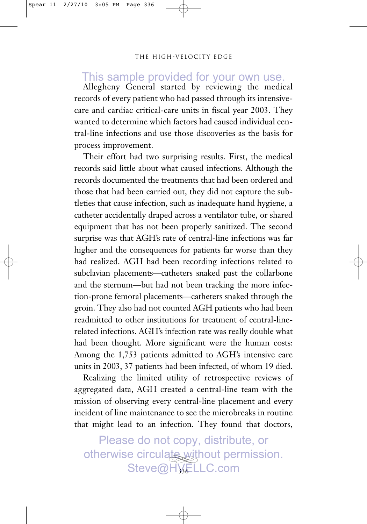Allegheny General started by reviewing the medical records of every patient who had passed through its intensivecare and cardiac critical-care units in fiscal year 2003. They wanted to determine which factors had caused individual central-line infections and use those discoveries as the basis for process improvement.

Their effort had two surprising results. First, the medical records said little about what caused infections. Although the records documented the treatments that had been ordered and those that had been carried out, they did not capture the subtleties that cause infection, such as inadequate hand hygiene, a catheter accidentally draped across a ventilator tube, or shared equipment that has not been properly sanitized. The second surprise was that AGH's rate of central-line infections was far higher and the consequences for patients far worse than they had realized. AGH had been recording infections related to subclavian placements—catheters snaked past the collarbone and the sternum—but had not been tracking the more infection-prone femoral placements—catheters snaked through the groin. They also had not counted AGH patients who had been readmitted to other institutions for treatment of central-linerelated infections. AGH's infection rate was really double what had been thought. More significant were the human costs: Among the 1,753 patients admitted to AGH's intensive care units in 2003, 37 patients had been infected, of whom 19 died.

Realizing the limited utility of retrospective reviews of aggregated data, AGH created a central-line team with the mission of observing every central-line placement and every incident of line maintenance to see the microbreaks in routine that might lead to an infection. They found that doctors,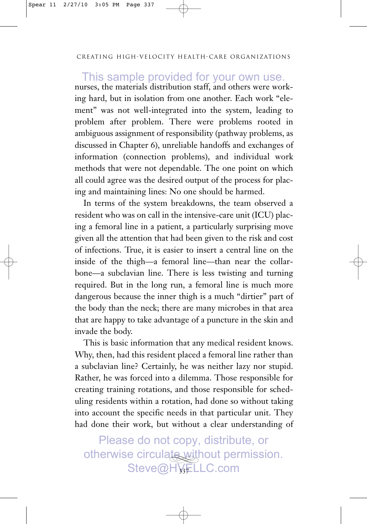nurses, the materials distribution staff, and others were working hard, but in isolation from one another. Each work "element" was not well-integrated into the system, leading to problem after problem. There were problems rooted in ambiguous assignment of responsibility (pathway problems, as discussed in Chapter 6), unreliable handoffs and exchanges of information (connection problems), and individual work methods that were not dependable. The one point on which all could agree was the desired output of the process for placing and maintaining lines: No one should be harmed. This sample provided for your own use.

In terms of the system breakdowns, the team observed a resident who was on call in the intensive-care unit (ICU) placing a femoral line in a patient, a particularly surprising move given all the attention that had been given to the risk and cost of infections. True, it is easier to insert a central line on the inside of the thigh—a femoral line—than near the collarbone—a subclavian line. There is less twisting and turning required. But in the long run, a femoral line is much more dangerous because the inner thigh is a much "dirtier" part of the body than the neck; there are many microbes in that area that are happy to take advantage of a puncture in the skin and invade the body.

This is basic information that any medical resident knows. Why, then, had this resident placed a femoral line rather than a subclavian line? Certainly, he was neither lazy nor stupid. Rather, he was forced into a dilemma. Those responsible for creating training rotations, and those responsible for scheduling residents within a rotation, had done so without taking into account the specific needs in that particular unit. They had done their work, but without a clear understanding of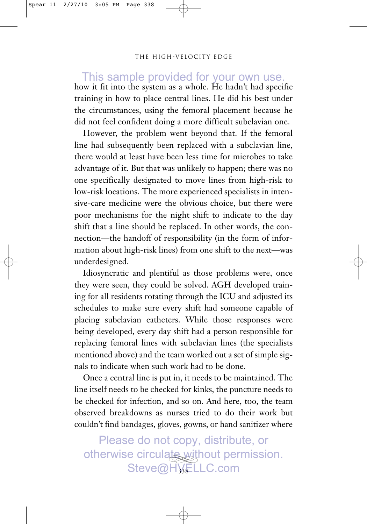how it fit into the system as a whole. He hadn't had specific training in how to place central lines. He did his best under the circumstances, using the femoral placement because he did not feel confident doing a more difficult subclavian one. This sample provided for your own use.

However, the problem went beyond that. If the femoral line had subsequently been replaced with a subclavian line, there would at least have been less time for microbes to take advantage of it. But that was unlikely to happen; there was no one specifically designated to move lines from high-risk to low-risk locations. The more experienced specialists in intensive-care medicine were the obvious choice, but there were poor mechanisms for the night shift to indicate to the day shift that a line should be replaced. In other words, the connection—the handoff of responsibility (in the form of information about high-risk lines) from one shift to the next—was underdesigned.

Idiosyncratic and plentiful as those problems were, once they were seen, they could be solved. AGH developed training for all residents rotating through the ICU and adjusted its schedules to make sure every shift had someone capable of placing subclavian catheters. While those responses were being developed, every day shift had a person responsible for replacing femoral lines with subclavian lines (the specialists mentioned above) and the team worked out a set of simple signals to indicate when such work had to be done.

Once a central line is put in, it needs to be maintained. The line itself needs to be checked for kinks, the puncture needs to be checked for infection, and so on. And here, too, the team observed breakdowns as nurses tried to do their work but couldn't find bandages, gloves, gowns, or hand sanitizer where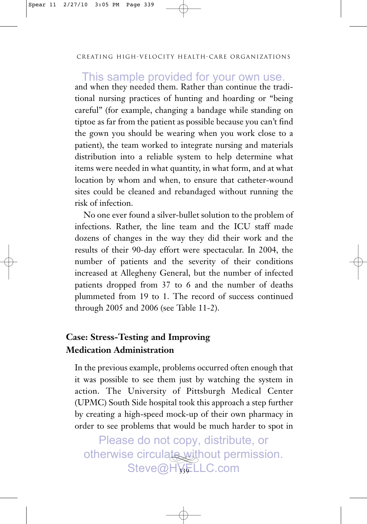and when they needed them. Rather than continue the traditional nursing practices of hunting and hoarding or "being careful" (for example, changing a bandage while standing on tiptoe as far from the patient as possible because you can't find the gown you should be wearing when you work close to a patient), the team worked to integrate nursing and materials distribution into a reliable system to help determine what items were needed in what quantity, in what form, and at what location by whom and when, to ensure that catheter-wound sites could be cleaned and rebandaged without running the risk of infection. This sample provided for your own use.

No one ever found a silver-bullet solution to the problem of infections. Rather, the line team and the ICU staff made dozens of changes in the way they did their work and the results of their 90-day effort were spectacular. In 2004, the number of patients and the severity of their conditions increased at Allegheny General, but the number of infected patients dropped from 37 to 6 and the number of deaths plummeted from 19 to 1. The record of success continued through 2005 and 2006 (see Table 11-2).

## **Case: Stress-Testing and Improving Medication Administration**

In the previous example, problems occurred often enough that it was possible to see them just by watching the system in action. The University of Pittsburgh Medical Center (UPMC) South Side hospital took this approach a step further by creating a high-speed mock-up of their own pharmacy in order to see problems that would be much harder to spot in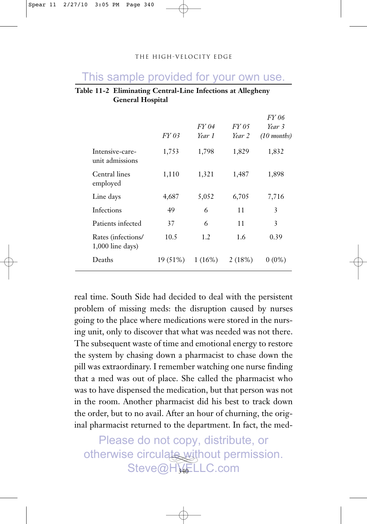#### **Table 11-2 Eliminating Central-Line Infections at Allegheny General Hospital**

|                                          | <i>FY 03</i> | <i>FY 04</i><br>Year 1 | <i>FY 05</i><br>Year 2 | <i>FY 06</i><br>Year 3<br>$(10 \; months)$ |
|------------------------------------------|--------------|------------------------|------------------------|--------------------------------------------|
| Intensive-care-<br>unit admissions       | 1,753        | 1,798                  | 1,829                  | 1,832                                      |
| Central lines<br>employed                | 1,110        | 1,321                  | 1,487                  | 1,898                                      |
| Line days                                | 4,687        | 5,052                  | 6,705                  | 7,716                                      |
| Infections                               | 49           | 6                      | 11                     | 3                                          |
| Patients infected                        | 37           | 6                      | 11                     | 3                                          |
| Rates (infections/<br>$1,000$ line days) | 10.5         | 1.2                    | 1.6                    | 0.39                                       |
| Deaths                                   | 19 (51%)     | $1(16\%)$              | 2(18%)                 | $0(0\%)$                                   |

real time. South Side had decided to deal with the persistent problem of missing meds: the disruption caused by nurses going to the place where medications were stored in the nursing unit, only to discover that what was needed was not there. The subsequent waste of time and emotional energy to restore the system by chasing down a pharmacist to chase down the pill was extraordinary. I remember watching one nurse finding that a med was out of place. She called the pharmacist who was to have dispensed the medication, but that person was not in the room. Another pharmacist did his best to track down the order, but to no avail. After an hour of churning, the original pharmacist returned to the department. In fact, the med-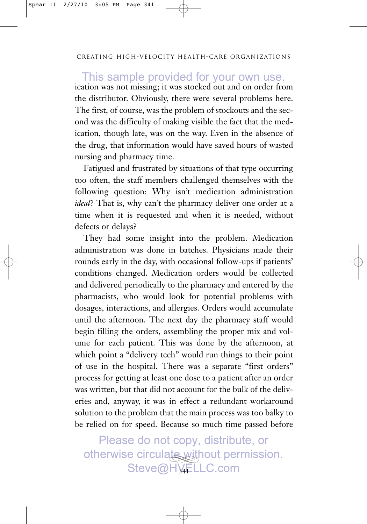ication was not missing; it was stocked out and on order from the distributor. Obviously, there were several problems here. The first, of course, was the problem of stockouts and the second was the difficulty of making visible the fact that the medication, though late, was on the way. Even in the absence of the drug, that information would have saved hours of wasted nursing and pharmacy time. This sample provided for your own use.

Fatigued and frustrated by situations of that type occurring too often, the staff members challenged themselves with the following question: Why isn't medication administration *ideal*? That is, why can't the pharmacy deliver one order at a time when it is requested and when it is needed, without defects or delays?

They had some insight into the problem. Medication administration was done in batches. Physicians made their rounds early in the day, with occasional follow-ups if patients' conditions changed. Medication orders would be collected and delivered periodically to the pharmacy and entered by the pharmacists, who would look for potential problems with dosages, interactions, and allergies. Orders would accumulate until the afternoon. The next day the pharmacy staff would begin filling the orders, assembling the proper mix and volume for each patient. This was done by the afternoon, at which point a "delivery tech" would run things to their point of use in the hospital. There was a separate "first orders" process for getting at least one dose to a patient after an order was written, but that did not account for the bulk of the deliveries and, anyway, it was in effect a redundant workaround solution to the problem that the main process was too balky to be relied on for speed. Because so much time passed before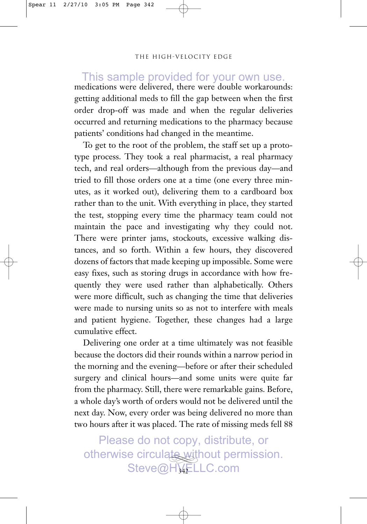medications were delivered, there were double workarounds: getting additional meds to fill the gap between when the first order drop-off was made and when the regular deliveries occurred and returning medications to the pharmacy because patients' conditions had changed in the meantime. This sample provided for your own use.

To get to the root of the problem, the staff set up a prototype process. They took a real pharmacist, a real pharmacy tech, and real orders—although from the previous day—and tried to fill those orders one at a time (one every three minutes, as it worked out), delivering them to a cardboard box rather than to the unit. With everything in place, they started the test, stopping every time the pharmacy team could not maintain the pace and investigating why they could not. There were printer jams, stockouts, excessive walking distances, and so forth. Within a few hours, they discovered dozens of factors that made keeping up impossible. Some were easy fixes, such as storing drugs in accordance with how frequently they were used rather than alphabetically. Others were more difficult, such as changing the time that deliveries were made to nursing units so as not to interfere with meals and patient hygiene. Together, these changes had a large cumulative effect.

Delivering one order at a time ultimately was not feasible because the doctors did their rounds within a narrow period in the morning and the evening—before or after their scheduled surgery and clinical hours—and some units were quite far from the pharmacy. Still, there were remarkable gains. Before, a whole day's worth of orders would not be delivered until the next day. Now, every order was being delivered no more than two hours after it was placed. The rate of missing meds fell 88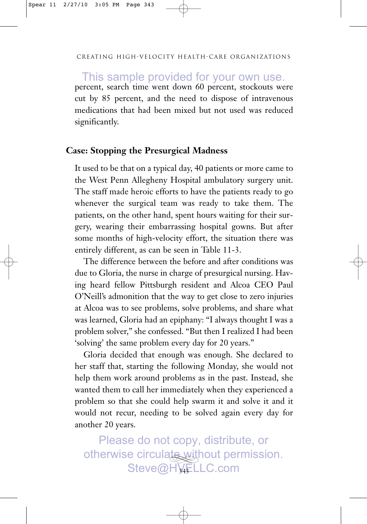percent, search time went down 60 percent, stockouts were cut by 85 percent, and the need to dispose of intravenous medications that had been mixed but not used was reduced significantly. This sample provided for your own use.

## **Case: Stopping the Presurgical Madness**

It used to be that on a typical day, 40 patients or more came to the West Penn Allegheny Hospital ambulatory surgery unit. The staff made heroic efforts to have the patients ready to go whenever the surgical team was ready to take them. The patients, on the other hand, spent hours waiting for their surgery, wearing their embarrassing hospital gowns. But after some months of high-velocity effort, the situation there was entirely different, as can be seen in Table 11-3.

The difference between the before and after conditions was due to Gloria, the nurse in charge of presurgical nursing. Having heard fellow Pittsburgh resident and Alcoa CEO Paul O'Neill's admonition that the way to get close to zero injuries at Alcoa was to see problems, solve problems, and share what was learned, Gloria had an epiphany: "I always thought I was a problem solver," she confessed. "But then I realized I had been 'solving' the same problem every day for 20 years."

Gloria decided that enough was enough. She declared to her staff that, starting the following Monday, she would not help them work around problems as in the past. Instead, she wanted them to call her immediately when they experienced a problem so that she could help swarm it and solve it and it would not recur, needing to be solved again every day for another 20 years.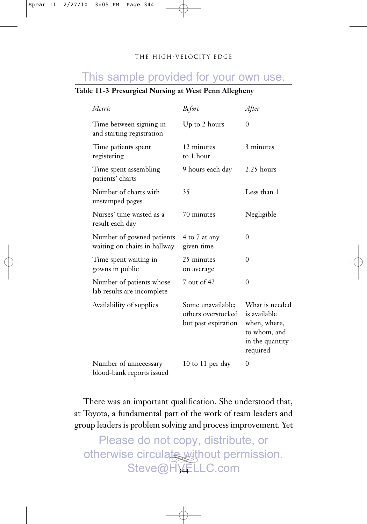#### The High-velocity Edge

# This sample provided for your own use.

#### **Table 11-3 Presurgical Nursing at West Penn Allegheny**

| Metric                                                    | <b>Before</b>                                                  | After                                                                                         |
|-----------------------------------------------------------|----------------------------------------------------------------|-----------------------------------------------------------------------------------------------|
| Time between signing in<br>and starting registration      | Up to 2 hours                                                  | $\theta$                                                                                      |
| Time patients spent<br>registering                        | 12 minutes<br>to 1 hour                                        | 3 minutes                                                                                     |
| Time spent assembling<br>patients' charts                 | 9 hours each day                                               | $2.25$ hours                                                                                  |
| Number of charts with<br>unstamped pages                  | 35                                                             | Less than 1                                                                                   |
| Nurses' time wasted as a<br>result each day               | 70 minutes                                                     | Negligible                                                                                    |
| Number of gowned patients<br>waiting on chairs in hallway | 4 to 7 at any<br>given time                                    | $\theta$                                                                                      |
| Time spent waiting in<br>gowns in public                  | 25 minutes<br>on average                                       | $\theta$                                                                                      |
| Number of patients whose<br>lab results are incomplete    | $7$ out of $42$                                                | $\theta$                                                                                      |
| Availability of supplies                                  | Some unavailable;<br>others overstocked<br>but past expiration | What is needed<br>is available<br>when, where,<br>to whom, and<br>in the quantity<br>required |
| Number of unnecessary<br>blood-bank reports issued        | 10 to 11 per day                                               | $\overline{0}$                                                                                |

There was an important qualification. She understood that, at Toyota, a fundamental part of the work of team leaders and group leaders is problem solving and process improvement. Yet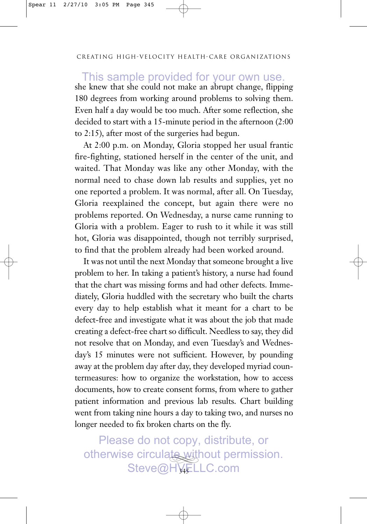she knew that she could not make an abrupt change, flipping 180 degrees from working around problems to solving them. Even half a day would be too much. After some reflection, she decided to start with a 15-minute period in the afternoon (2:00 to 2:15), after most of the surgeries had begun. This sample provided for your own use.

At 2:00 p.m. on Monday, Gloria stopped her usual frantic fire-fighting, stationed herself in the center of the unit, and waited. That Monday was like any other Monday, with the normal need to chase down lab results and supplies, yet no one reported a problem. It was normal, after all. On Tuesday, Gloria reexplained the concept, but again there were no problems reported. On Wednesday, a nurse came running to Gloria with a problem. Eager to rush to it while it was still hot, Gloria was disappointed, though not terribly surprised, to find that the problem already had been worked around.

It was not until the next Monday that someone brought a live problem to her. In taking a patient's history, a nurse had found that the chart was missing forms and had other defects. Immediately, Gloria huddled with the secretary who built the charts every day to help establish what it meant for a chart to be defect-free and investigate what it was about the job that made creating a defect-free chart so difficult. Needless to say, they did not resolve that on Monday, and even Tuesday's and Wednesday's 15 minutes were not sufficient. However, by pounding away at the problem day after day, they developed myriad countermeasures: how to organize the workstation, how to access documents, how to create consent forms, from where to gather patient information and previous lab results. Chart building went from taking nine hours a day to taking two, and nurses no longer needed to fix broken charts on the fly.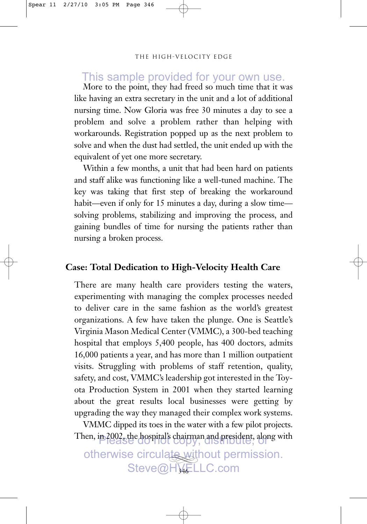More to the point, they had freed so much time that it was like having an extra secretary in the unit and a lot of additional nursing time. Now Gloria was free 30 minutes a day to see a problem and solve a problem rather than helping with workarounds. Registration popped up as the next problem to solve and when the dust had settled, the unit ended up with the equivalent of yet one more secretary.

Within a few months, a unit that had been hard on patients and staff alike was functioning like a well-tuned machine. The key was taking that first step of breaking the workaround habit—even if only for 15 minutes a day, during a slow time solving problems, stabilizing and improving the process, and gaining bundles of time for nursing the patients rather than nursing a broken process.

#### **Case: Total Dedication to High-Velocity Health Care**

There are many health care providers testing the waters, experimenting with managing the complex processes needed to deliver care in the same fashion as the world's greatest organizations. A few have taken the plunge. One is Seattle's Virginia Mason Medical Center (VMMC), a 300-bed teaching hospital that employs 5,400 people, has 400 doctors, admits 16,000 patients a year, and has more than 1 million outpatient visits. Struggling with problems of staff retention, quality, safety, and cost, VMMC's leadership got interested in the Toyota Production System in 2001 when they started learning about the great results local businesses were getting by upgrading the way they managed their complex work systems.

VMMC dipped its toes in the water with a few pilot projects. Then, in 2002, the hospital's chairman and president, along with

otherwise circulate without permission. Steve@H34ELLC.com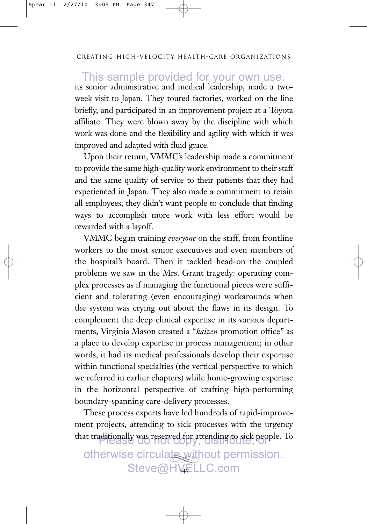its senior administrative and medical leadership, made a twoweek visit to Japan. They toured factories, worked on the line briefly, and participated in an improvement project at a Toyota affiliate. They were blown away by the discipline with which work was done and the flexibility and agility with which it was improved and adapted with fluid grace. This sample provided for your own use.

Upon their return, VMMC's leadership made a commitment to provide the same high-quality work environment to their staff and the same quality of service to their patients that they had experienced in Japan. They also made a commitment to retain all employees; they didn't want people to conclude that finding ways to accomplish more work with less effort would be rewarded with a layoff.

VMMC began training *everyone* on the staff, from frontline workers to the most senior executives and even members of the hospital's board. Then it tackled head-on the coupled problems we saw in the Mrs. Grant tragedy: operating complex processes as if managing the functional pieces were sufficient and tolerating (even encouraging) workarounds when the system was crying out about the flaws in its design. To complement the deep clinical expertise in its various departments, Virginia Mason created a "*kaizen* promotion office" as a place to develop expertise in process management; in other words, it had its medical professionals develop their expertise within functional specialties (the vertical perspective to which we referred in earlier chapters) while home-growing expertise in the horizontal perspective of crafting high-performing boundary-spanning care-delivery processes.

These process experts have led hundreds of rapid-improvement projects, attending to sick processes with the urgency that traditionally was reserved for attending to sick people. To

otherwise circulate without permission. Steve@HyELLC.com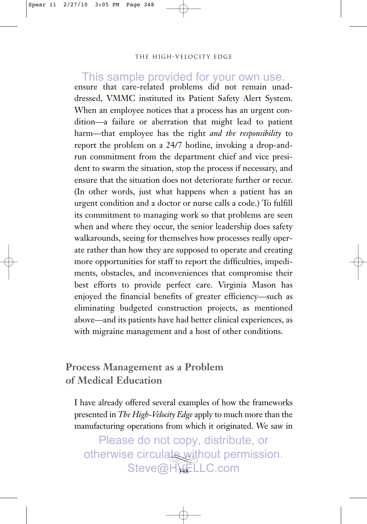ensure that care-related problems did not remain unaddressed, VMMC instituted its Patient Safety Alert System. When an employee notices that a process has an urgent condition—a failure or aberration that might lead to patient harm—that employee has the right *and the responsibility* to report the problem on a 24/7 hotline, invoking a drop-andrun commitment from the department chief and vice president to swarm the situation, stop the process if necessary, and ensure that the situation does not deteriorate further or recur. (In other words, just what happens when a patient has an urgent condition and a doctor or nurse calls a code.) To fulfill its commitment to managing work so that problems are seen when and where they occur, the senior leadership does safety walkarounds, seeing for themselves how processes really operate rather than how they are supposed to operate and creating more opportunities for staff to report the difficulties, impediments, obstacles, and inconveniences that compromise their best efforts to provide perfect care. Virginia Mason has enjoyed the financial benefits of greater efficiency—such as eliminating budgeted construction projects, as mentioned above—and its patients have had better clinical experiences, as with migraine management and a host of other conditions. This sample provided for your own use.

## **Process Management as a Problem of Medical Education**

I have already offered several examples of how the frameworks presented in *The High-Velocity Edge* apply to much more than the manufacturing operations from which it originated. We saw in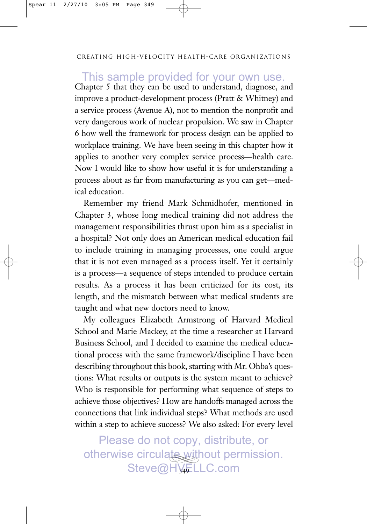Chapter 5 that they can be used to understand, diagnose, and improve a product-development process (Pratt & Whitney) and a service process (Avenue A), not to mention the nonprofit and very dangerous work of nuclear propulsion. We saw in Chapter 6 how well the framework for process design can be applied to workplace training. We have been seeing in this chapter how it applies to another very complex service process—health care. Now I would like to show how useful it is for understanding a process about as far from manufacturing as you can get—medical education. This sample provided for your own use.

Remember my friend Mark Schmidhofer, mentioned in Chapter 3, whose long medical training did not address the management responsibilities thrust upon him as a specialist in a hospital? Not only does an American medical education fail to include training in managing processes, one could argue that it is not even managed as a process itself. Yet it certainly is a process—a sequence of steps intended to produce certain results. As a process it has been criticized for its cost, its length, and the mismatch between what medical students are taught and what new doctors need to know.

My colleagues Elizabeth Armstrong of Harvard Medical School and Marie Mackey, at the time a researcher at Harvard Business School, and I decided to examine the medical educational process with the same framework/discipline I have been describing throughout this book, starting with Mr. Ohba's questions: What results or outputs is the system meant to achieve? Who is responsible for performing what sequence of steps to achieve those objectives? How are handoffs managed across the connections that link individual steps? What methods are used within a step to achieve success? We also asked: For every level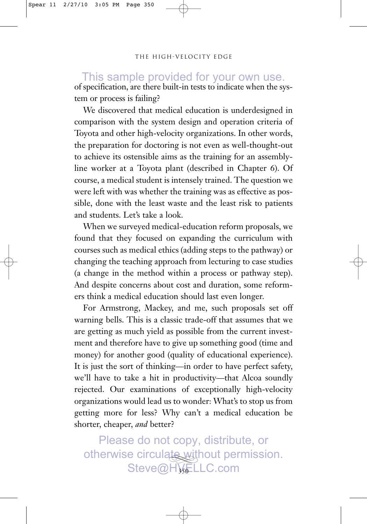of specification, are there built-in tests to indicate when the system or process is failing? This sample provided for your own use.

We discovered that medical education is underdesigned in comparison with the system design and operation criteria of Toyota and other high-velocity organizations. In other words, the preparation for doctoring is not even as well-thought-out to achieve its ostensible aims as the training for an assemblyline worker at a Toyota plant (described in Chapter 6). Of course, a medical student is intensely trained. The question we were left with was whether the training was as effective as possible, done with the least waste and the least risk to patients and students. Let's take a look.

When we surveyed medical-education reform proposals, we found that they focused on expanding the curriculum with courses such as medical ethics (adding steps to the pathway) or changing the teaching approach from lecturing to case studies (a change in the method within a process or pathway step). And despite concerns about cost and duration, some reformers think a medical education should last even longer.

For Armstrong, Mackey, and me, such proposals set off warning bells. This is a classic trade-off that assumes that we are getting as much yield as possible from the current investment and therefore have to give up something good (time and money) for another good (quality of educational experience). It is just the sort of thinking—in order to have perfect safety, we'll have to take a hit in productivity—that Alcoa soundly rejected. Our examinations of exceptionally high-velocity organizations would lead us to wonder: What's to stop us from getting more for less? Why can't a medical education be shorter, cheaper, *and* better?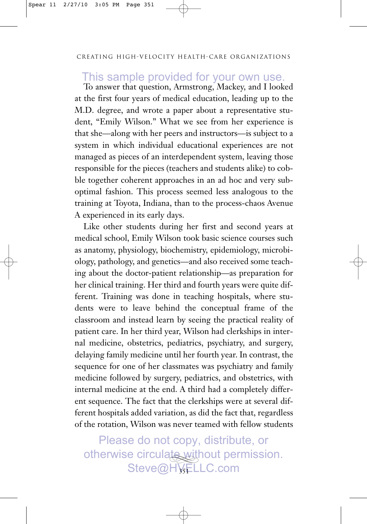To answer that question, Armstrong, Mackey, and I looked at the first four years of medical education, leading up to the M.D. degree, and wrote a paper about a representative student, "Emily Wilson." What we see from her experience is that she—along with her peers and instructors—is subject to a system in which individual educational experiences are not managed as pieces of an interdependent system, leaving those responsible for the pieces (teachers and students alike) to cobble together coherent approaches in an ad hoc and very suboptimal fashion. This process seemed less analogous to the training at Toyota, Indiana, than to the process-chaos Avenue A experienced in its early days.

Like other students during her first and second years at medical school, Emily Wilson took basic science courses such as anatomy, physiology, biochemistry, epidemiology, microbiology, pathology, and genetics—and also received some teaching about the doctor-patient relationship—as preparation for her clinical training. Her third and fourth years were quite different. Training was done in teaching hospitals, where students were to leave behind the conceptual frame of the classroom and instead learn by seeing the practical reality of patient care. In her third year, Wilson had clerkships in internal medicine, obstetrics, pediatrics, psychiatry, and surgery, delaying family medicine until her fourth year. In contrast, the sequence for one of her classmates was psychiatry and family medicine followed by surgery, pediatrics, and obstetrics, with internal medicine at the end. A third had a completely different sequence. The fact that the clerkships were at several different hospitals added variation, as did the fact that, regardless of the rotation, Wilson was never teamed with fellow students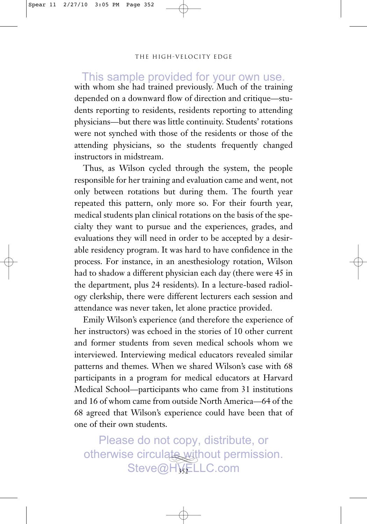with whom she had trained previously. Much of the training depended on a downward flow of direction and critique—students reporting to residents, residents reporting to attending physicians—but there was little continuity. Students' rotations were not synched with those of the residents or those of the attending physicians, so the students frequently changed instructors in midstream. This sample provided for your own use.

Thus, as Wilson cycled through the system, the people responsible for her training and evaluation came and went, not only between rotations but during them. The fourth year repeated this pattern, only more so. For their fourth year, medical students plan clinical rotations on the basis of the specialty they want to pursue and the experiences, grades, and evaluations they will need in order to be accepted by a desirable residency program. It was hard to have confidence in the process. For instance, in an anesthesiology rotation, Wilson had to shadow a different physician each day (there were 45 in the department, plus 24 residents). In a lecture-based radiology clerkship, there were different lecturers each session and attendance was never taken, let alone practice provided.

Emily Wilson's experience (and therefore the experience of her instructors) was echoed in the stories of 10 other current and former students from seven medical schools whom we interviewed. Interviewing medical educators revealed similar patterns and themes. When we shared Wilson's case with 68 participants in a program for medical educators at Harvard Medical School—participants who came from 31 institutions and 16 of whom came from outside North America—64 of the 68 agreed that Wilson's experience could have been that of one of their own students.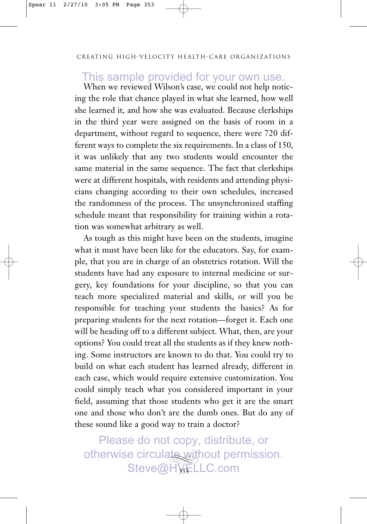When we reviewed Wilson's case, we could not help noticing the role that chance played in what she learned, how well she learned it, and how she was evaluated. Because clerkships in the third year were assigned on the basis of room in a department, without regard to sequence, there were 720 different ways to complete the six requirements. In a class of 150, it was unlikely that any two students would encounter the same material in the same sequence. The fact that clerkships were at different hospitals, with residents and attending physicians changing according to their own schedules, increased the randomness of the process. The unsynchronized staffing schedule meant that responsibility for training within a rotation was somewhat arbitrary as well.

As tough as this might have been on the students, imagine what it must have been like for the educators. Say, for example, that you are in charge of an obstetrics rotation. Will the students have had any exposure to internal medicine or surgery, key foundations for your discipline, so that you can teach more specialized material and skills, or will you be responsible for teaching your students the basics? As for preparing students for the next rotation—forget it. Each one will be heading off to a different subject. What, then, are your options? You could treat all the students as if they knew nothing. Some instructors are known to do that. You could try to build on what each student has learned already, different in each case, which would require extensive customization. You could simply teach what you considered important in your field, assuming that those students who get it are the smart one and those who don't are the dumb ones. But do any of these sound like a good way to train a doctor?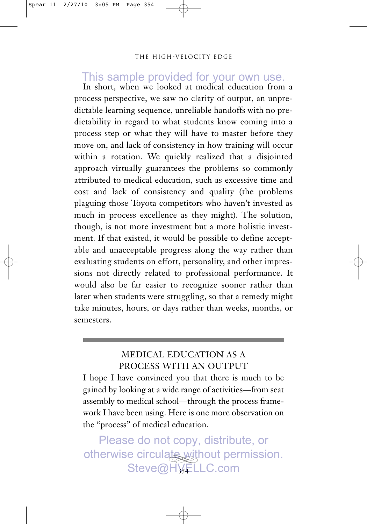In short, when we looked at medical education from a process perspective, we saw no clarity of output, an unpredictable learning sequence, unreliable handoffs with no predictability in regard to what students know coming into a process step or what they will have to master before they move on, and lack of consistency in how training will occur within a rotation. We quickly realized that a disjointed approach virtually guarantees the problems so commonly attributed to medical education, such as excessive time and cost and lack of consistency and quality (the problems plaguing those Toyota competitors who haven't invested as much in process excellence as they might). The solution, though, is not more investment but a more holistic investment. If that existed, it would be possible to define acceptable and unacceptable progress along the way rather than evaluating students on effort, personality, and other impressions not directly related to professional performance. It would also be far easier to recognize sooner rather than later when students were struggling, so that a remedy might take minutes, hours, or days rather than weeks, months, or semesters.

## MEDICAL EDUCATION AS A PROCESS WITH AN OUTPUT

I hope I have convinced you that there is much to be gained by looking at a wide range of activities—from seat assembly to medical school—through the process framework I have been using. Here is one more observation on the "process" of medical education.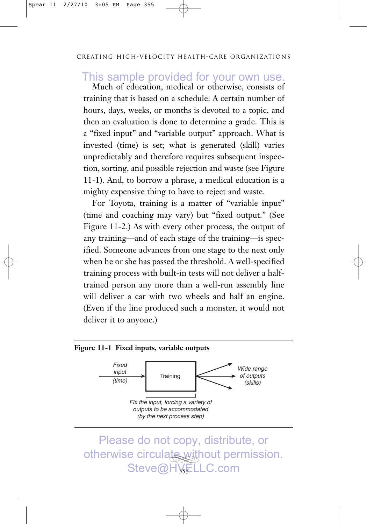Much of education, medical or otherwise, consists of training that is based on a schedule: A certain number of hours, days, weeks, or months is devoted to a topic, and then an evaluation is done to determine a grade. This is a "fixed input" and "variable output" approach. What is invested (time) is set; what is generated (skill) varies unpredictably and therefore requires subsequent inspection, sorting, and possible rejection and waste (see Figure 11-1). And, to borrow a phrase, a medical education is a mighty expensive thing to have to reject and waste.

For Toyota, training is a matter of "variable input" (time and coaching may vary) but "fixed output." (See Figure 11-2.) As with every other process, the output of any training—and of each stage of the training—is specified. Someone advances from one stage to the next only when he or she has passed the threshold. A well-specified training process with built-in tests will not deliver a halftrained person any more than a well-run assembly line will deliver a car with two wheels and half an engine. (Even if the line produced such a monster, it would not deliver it to anyone.)

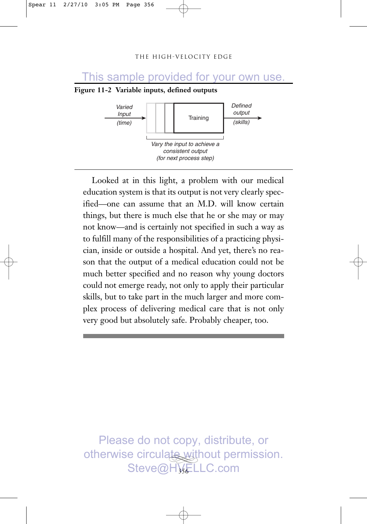**Figure 11-2 Variable inputs, defined outputs**



Looked at in this light, a problem with our medical education system is that its output is not very clearly specified—one can assume that an M.D. will know certain things, but there is much else that he or she may or may not know—and is certainly not specified in such a way as to fulfill many of the responsibilities of a practicing physician, inside or outside a hospital. And yet, there's no reason that the output of a medical education could not be much better specified and no reason why young doctors could not emerge ready, not only to apply their particular skills, but to take part in the much larger and more complex process of delivering medical care that is not only very good but absolutely safe. Probably cheaper, too.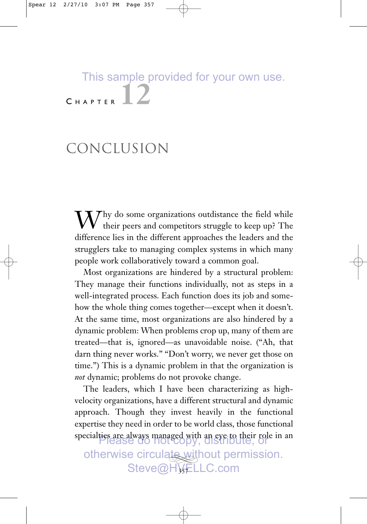# C HAPTER **12** This sample provided for your own use.

# Conclusion

 $\sum_{i=1}^{n}$   $\sum_{j=1}^{n}$  do some organizations outdistance the field while their peers and competitors struggle to keep up? The difference lies in the different approaches the leaders and the strugglers take to managing complex systems in which many people work collaboratively toward a common goal.

Most organizations are hindered by a structural problem: They manage their functions individually, not as steps in a well-integrated process. Each function does its job and somehow the whole thing comes together—except when it doesn't. At the same time, most organizations are also hindered by a dynamic problem: When problems crop up, many of them are treated—that is, ignored—as unavoidable noise. ("Ah, that darn thing never works." "Don't worry, we never get those on time.") This is a dynamic problem in that the organization is *not* dynamic; problems do not provoke change.

The leaders, which I have been characterizing as highvelocity organizations, have a different structural and dynamic approach. Though they invest heavily in the functional expertise they need in order to be world class, those functional specialties are always managed with an eye to their role in an Please do not copy, distribute, or

otherwise circulate without permission. Steve@HyELLC.com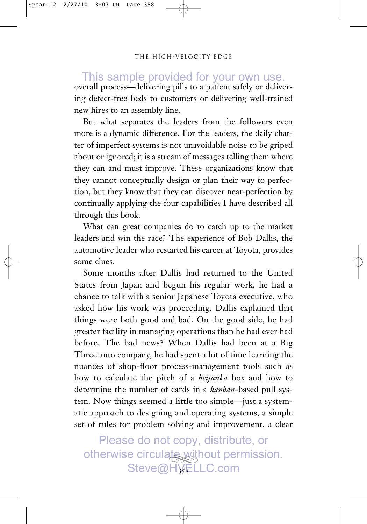overall process—delivering pills to a patient safely or delivering defect-free beds to customers or delivering well-trained new hires to an assembly line. This sample provided for your own use.

But what separates the leaders from the followers even more is a dynamic difference. For the leaders, the daily chatter of imperfect systems is not unavoidable noise to be griped about or ignored; it is a stream of messages telling them where they can and must improve. These organizations know that they cannot conceptually design or plan their way to perfection, but they know that they can discover near-perfection by continually applying the four capabilities I have described all through this book.

What can great companies do to catch up to the market leaders and win the race? The experience of Bob Dallis, the automotive leader who restarted his career at Toyota, provides some clues.

Some months after Dallis had returned to the United States from Japan and begun his regular work, he had a chance to talk with a senior Japanese Toyota executive, who asked how his work was proceeding. Dallis explained that things were both good and bad. On the good side, he had greater facility in managing operations than he had ever had before. The bad news? When Dallis had been at a Big Three auto company, he had spent a lot of time learning the nuances of shop-floor process-management tools such as how to calculate the pitch of a *heijunka* box and how to determine the number of cards in a *kanban*-based pull system. Now things seemed a little too simple—just a systematic approach to designing and operating systems, a simple set of rules for problem solving and improvement, a clear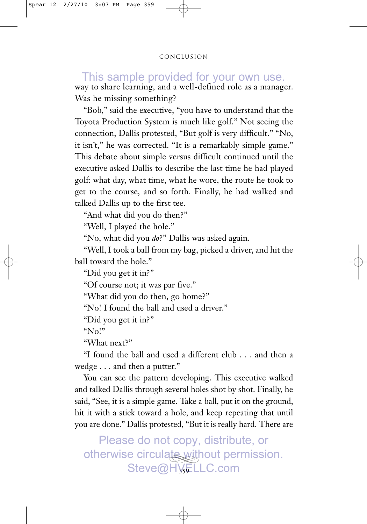#### Conclusion

way to share learning, and a well-defined role as a manager. Was he missing something? This sample provided for your own use.

"Bob," said the executive, "you have to understand that the Toyota Production System is much like golf." Not seeing the connection, Dallis protested, "But golf is very difficult." "No, it isn't," he was corrected. "It is a remarkably simple game." This debate about simple versus difficult continued until the executive asked Dallis to describe the last time he had played golf: what day, what time, what he wore, the route he took to get to the course, and so forth. Finally, he had walked and talked Dallis up to the first tee.

"And what did you do then?"

"Well, I played the hole."

"No, what did you *do*?" Dallis was asked again.

"Well, I took a ball from my bag, picked a driver, and hit the ball toward the hole."

"Did you get it in?"

"Of course not; it was par five."

"What did you do then, go home?"

"No! I found the ball and used a driver."

"Did you get it in?"

"No!"

"What next?"

"I found the ball and used a different club . . . and then a wedge . . . and then a putter."

You can see the pattern developing. This executive walked and talked Dallis through several holes shot by shot. Finally, he said, "See, it is a simple game. Take a ball, put it on the ground, hit it with a stick toward a hole, and keep repeating that until you are done." Dallis protested, "But it is really hard. There are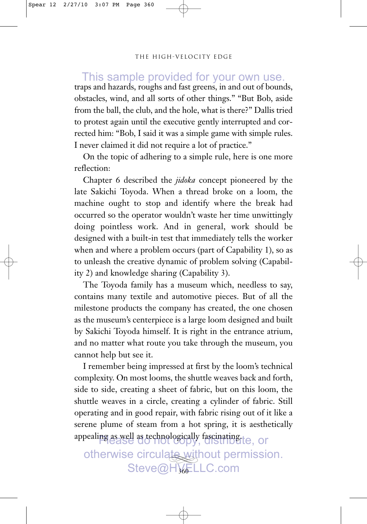traps and hazards, roughs and fast greens, in and out of bounds, obstacles, wind, and all sorts of other things." "But Bob, aside from the ball, the club, and the hole, what is there?" Dallis tried to protest again until the executive gently interrupted and corrected him: "Bob, I said it was a simple game with simple rules. I never claimed it did not require a lot of practice." This sample provided for your own use.

On the topic of adhering to a simple rule, here is one more reflection:

Chapter 6 described the *jidoka* concept pioneered by the late Sakichi Toyoda. When a thread broke on a loom, the machine ought to stop and identify where the break had occurred so the operator wouldn't waste her time unwittingly doing pointless work. And in general, work should be designed with a built-in test that immediately tells the worker when and where a problem occurs (part of Capability 1), so as to unleash the creative dynamic of problem solving (Capability 2) and knowledge sharing (Capability 3).

The Toyoda family has a museum which, needless to say, contains many textile and automotive pieces. But of all the milestone products the company has created, the one chosen as the museum's centerpiece is a large loom designed and built by Sakichi Toyoda himself. It is right in the entrance atrium, and no matter what route you take through the museum, you cannot help but see it.

I remember being impressed at first by the loom's technical complexity. On most looms, the shuttle weaves back and forth, side to side, creating a sheet of fabric, but on this loom, the shuttle weaves in a circle, creating a cylinder of fabric. Still operating and in good repair, with fabric rising out of it like a serene plume of steam from a hot spring, it is aesthetically appealing as well as technologically fascinating te, or

otherwise circulate without permission. Steve@H36ELLC.com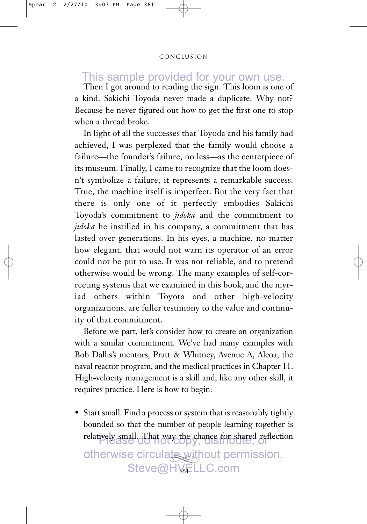#### Conclusion

## This sample provided for your own use.

Then I got around to reading the sign. This loom is one of a kind. Sakichi Toyoda never made a duplicate. Why not? Because he never figured out how to get the first one to stop when a thread broke.

In light of all the successes that Toyoda and his family had achieved, I was perplexed that the family would choose a failure—the founder's failure, no less—as the centerpiece of its museum. Finally, I came to recognize that the loom doesn't symbolize a failure; it represents a remarkable success. True, the machine itself is imperfect. But the very fact that there is only one of it perfectly embodies Sakichi Toyoda's commitment to *jidoka* and the commitment to *jidoka* he instilled in his company, a commitment that has lasted over generations. In his eyes, a machine, no matter how elegant, that would not warn its operator of an error could not be put to use. It was not reliable, and to pretend otherwise would be wrong. The many examples of self-correcting systems that we examined in this book, and the myriad others within Toyota and other high-velocity organizations, are fuller testimony to the value and continuity of that commitment.

Before we part, let's consider how to create an organization with a similar commitment. We've had many examples with Bob Dallis's mentors, Pratt & Whitney, Avenue A, Alcoa, the naval reactor program, and the medical practices in Chapter 11. High-velocity management is a skill and, like any other skill, it requires practice. Here is how to begin:

• Start small. Find a process or system that is reasonably tightly bounded so that the number of people learning together is relatively small. That way the chance for shared reflection otherwise circulate without permission. Steve@H\&ELLC.com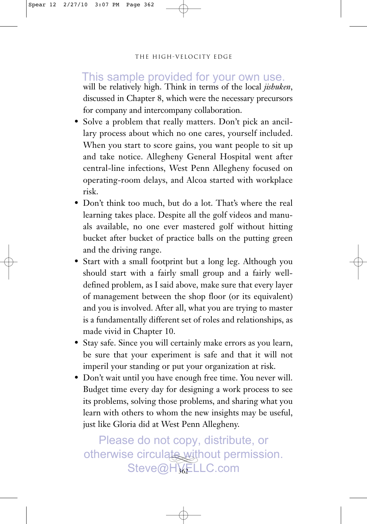## will be relatively high. Think in terms of the local *jishuken*, This sample provided for your own use.

discussed in Chapter 8, which were the necessary precursors for company and intercompany collaboration.

- Solve a problem that really matters. Don't pick an ancillary process about which no one cares, yourself included. When you start to score gains, you want people to sit up and take notice. Allegheny General Hospital went after central-line infections, West Penn Allegheny focused on operating-room delays, and Alcoa started with workplace risk.
- Don't think too much, but do a lot. That's where the real learning takes place. Despite all the golf videos and manuals available, no one ever mastered golf without hitting bucket after bucket of practice balls on the putting green and the driving range.
- Start with a small footprint but a long leg. Although you should start with a fairly small group and a fairly welldefined problem, as I said above, make sure that every layer of management between the shop floor (or its equivalent) and you is involved. After all, what you are trying to master is a fundamentally different set of roles and relationships, as made vivid in Chapter 10.
- Stay safe. Since you will certainly make errors as you learn, be sure that your experiment is safe and that it will not imperil your standing or put your organization at risk.
- Don't wait until you have enough free time. You never will. Budget time every day for designing a work process to see its problems, solving those problems, and sharing what you learn with others to whom the new insights may be useful, just like Gloria did at West Penn Allegheny.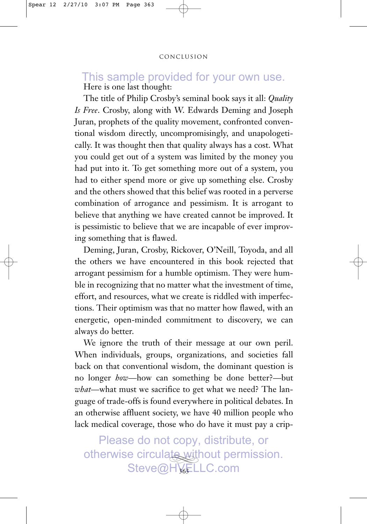#### Conclusion

## Here is one last thought: This sample provided for your own use.

The title of Philip Crosby's seminal book says it all: *Quality Is Free*. Crosby, along with W. Edwards Deming and Joseph Juran, prophets of the quality movement, confronted conventional wisdom directly, uncompromisingly, and unapologetically. It was thought then that quality always has a cost. What you could get out of a system was limited by the money you had put into it. To get something more out of a system, you had to either spend more or give up something else. Crosby and the others showed that this belief was rooted in a perverse combination of arrogance and pessimism. It is arrogant to believe that anything we have created cannot be improved. It is pessimistic to believe that we are incapable of ever improving something that is flawed.

Deming, Juran, Crosby, Rickover, O'Neill, Toyoda, and all the others we have encountered in this book rejected that arrogant pessimism for a humble optimism. They were humble in recognizing that no matter what the investment of time, effort, and resources, what we create is riddled with imperfections. Their optimism was that no matter how flawed, with an energetic, open-minded commitment to discovery, we can always do better.

We ignore the truth of their message at our own peril. When individuals, groups, organizations, and societies fall back on that conventional wisdom, the dominant question is no longer *how*—how can something be done better?—but *what*—what must we sacrifice to get what we need? The language of trade-offs is found everywhere in political debates. In an otherwise affluent society, we have 40 million people who lack medical coverage, those who do have it must pay a crip-